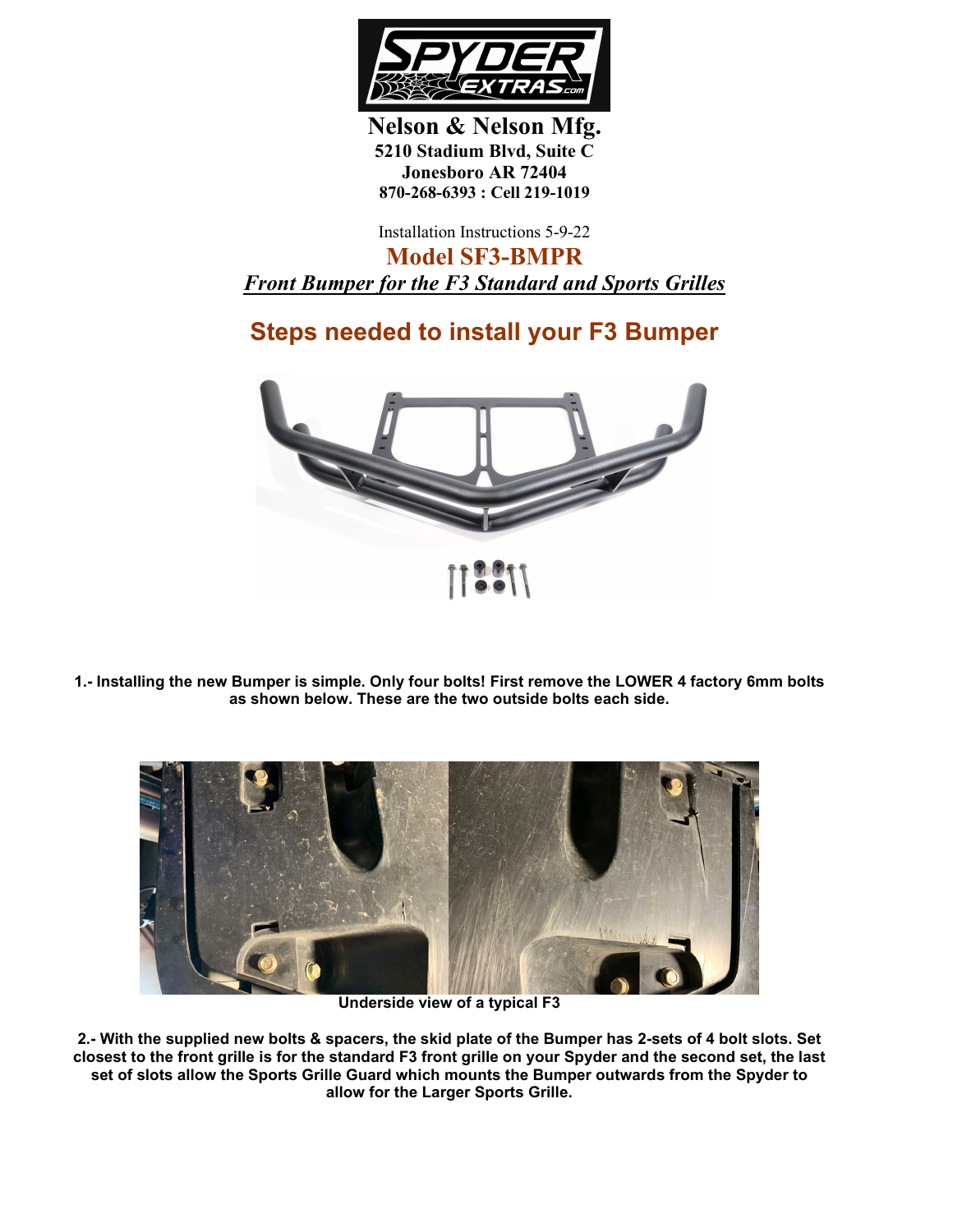

**Nelson & Nelson Mfg. 5210 Stadium Blvd, Suite C Jonesboro AR 72404 870-268-6393 : Cell 219-1019**

Installation Instructions 5-9-22

**Model SF3-BMPR** *Front Bumper for the F3 Standard and Sports Grilles*

## **Steps needed to install your F3 Bumper**



**1.- Installing the new Bumper is simple. Only four bolts! First remove the LOWER 4 factory 6mm bolts as shown below. These are the two outside bolts each side.**



**Underside view of a typical F3**

**2.- With the supplied new bolts & spacers, the skid plate of the Bumper has 2-sets of 4 bolt slots. Set closest to the front grille is for the standard F3 front grille on your Spyder and the second set, the last set of slots allow the Sports Grille Guard which mounts the Bumper outwards from the Spyder to allow for the Larger Sports Grille.**